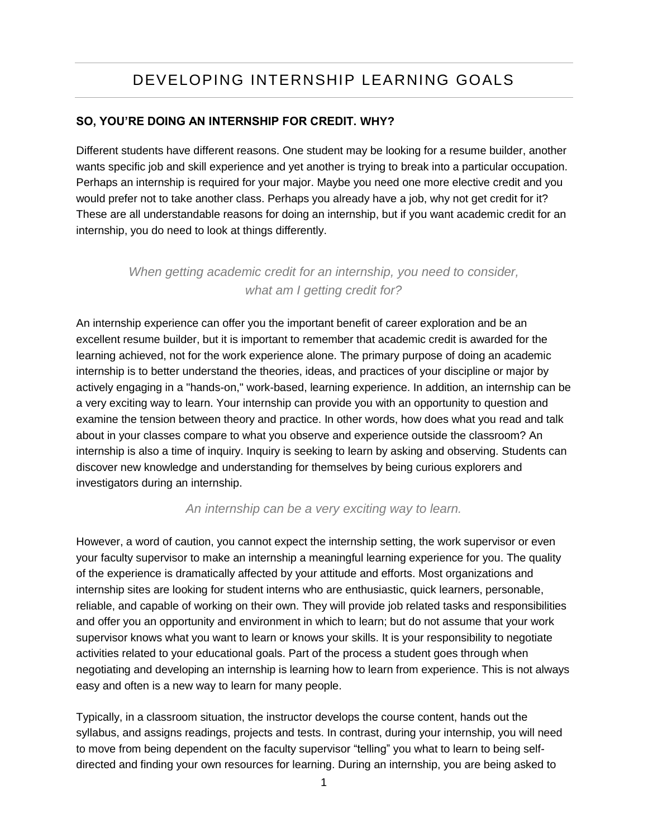# DEVELOPING INTERNSHIP LEARNING GOALS

## **SO, YOU'RE DOING AN INTERNSHIP FOR CREDIT. WHY?**

Different students have different reasons. One student may be looking for a resume builder, another wants specific job and skill experience and yet another is trying to break into a particular occupation. Perhaps an internship is required for your major. Maybe you need one more elective credit and you would prefer not to take another class. Perhaps you already have a job, why not get credit for it? These are all understandable reasons for doing an internship, but if you want academic credit for an internship, you do need to look at things differently.

# *When getting academic credit for an internship, you need to consider, what am I getting credit for?*

An internship experience can offer you the important benefit of career exploration and be an excellent resume builder, but it is important to remember that academic credit is awarded for the learning achieved, not for the work experience alone. The primary purpose of doing an academic internship is to better understand the theories, ideas, and practices of your discipline or major by actively engaging in a "hands-on," work-based, learning experience. In addition, an internship can be a very exciting way to learn. Your internship can provide you with an opportunity to question and examine the tension between theory and practice. In other words, how does what you read and talk about in your classes compare to what you observe and experience outside the classroom? An internship is also a time of inquiry. Inquiry is seeking to learn by asking and observing. Students can discover new knowledge and understanding for themselves by being curious explorers and investigators during an internship.

### *An internship can be a very exciting way to learn.*

However, a word of caution, you cannot expect the internship setting, the work supervisor or even your faculty supervisor to make an internship a meaningful learning experience for you. The quality of the experience is dramatically affected by your attitude and efforts. Most organizations and internship sites are looking for student interns who are enthusiastic, quick learners, personable, reliable, and capable of working on their own. They will provide job related tasks and responsibilities and offer you an opportunity and environment in which to learn; but do not assume that your work supervisor knows what you want to learn or knows your skills. It is your responsibility to negotiate activities related to your educational goals. Part of the process a student goes through when negotiating and developing an internship is learning how to learn from experience. This is not always easy and often is a new way to learn for many people.

Typically, in a classroom situation, the instructor develops the course content, hands out the syllabus, and assigns readings, projects and tests. In contrast, during your internship, you will need to move from being dependent on the faculty supervisor "telling" you what to learn to being selfdirected and finding your own resources for learning. During an internship, you are being asked to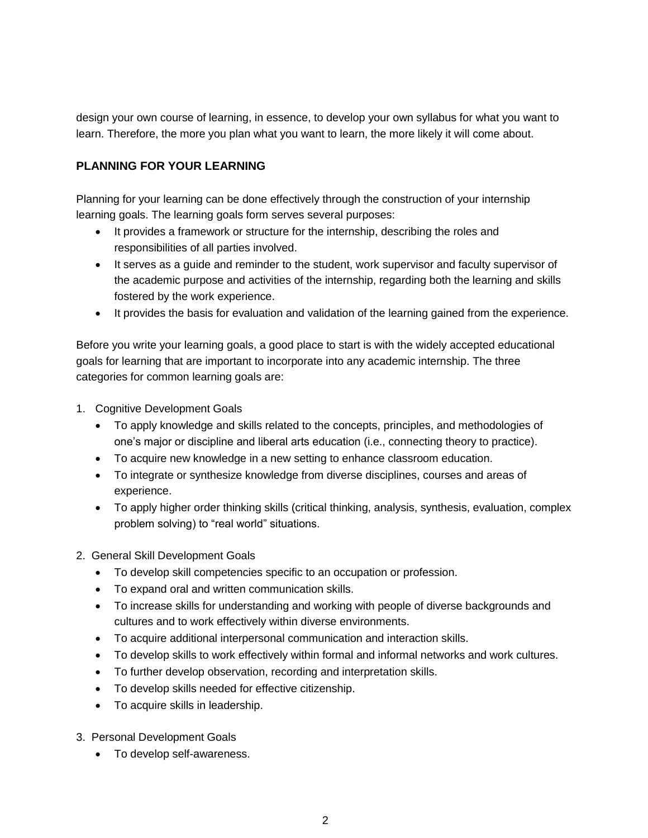design your own course of learning, in essence, to develop your own syllabus for what you want to learn. Therefore, the more you plan what you want to learn, the more likely it will come about.

## **PLANNING FOR YOUR LEARNING**

Planning for your learning can be done effectively through the construction of your internship learning goals. The learning goals form serves several purposes:

- It provides a framework or structure for the internship, describing the roles and responsibilities of all parties involved.
- It serves as a guide and reminder to the student, work supervisor and faculty supervisor of the academic purpose and activities of the internship, regarding both the learning and skills fostered by the work experience.
- It provides the basis for evaluation and validation of the learning gained from the experience.

Before you write your learning goals, a good place to start is with the widely accepted educational goals for learning that are important to incorporate into any academic internship. The three categories for common learning goals are:

- 1. Cognitive Development Goals
	- To apply knowledge and skills related to the concepts, principles, and methodologies of one's major or discipline and liberal arts education (i.e., connecting theory to practice).
	- To acquire new knowledge in a new setting to enhance classroom education.
	- To integrate or synthesize knowledge from diverse disciplines, courses and areas of experience.
	- To apply higher order thinking skills (critical thinking, analysis, synthesis, evaluation, complex problem solving) to "real world" situations.
- 2. General Skill Development Goals
	- To develop skill competencies specific to an occupation or profession.
	- To expand oral and written communication skills.
	- To increase skills for understanding and working with people of diverse backgrounds and cultures and to work effectively within diverse environments.
	- To acquire additional interpersonal communication and interaction skills.
	- To develop skills to work effectively within formal and informal networks and work cultures.
	- To further develop observation, recording and interpretation skills.
	- To develop skills needed for effective citizenship.
	- To acquire skills in leadership.
- 3. Personal Development Goals
	- To develop self-awareness.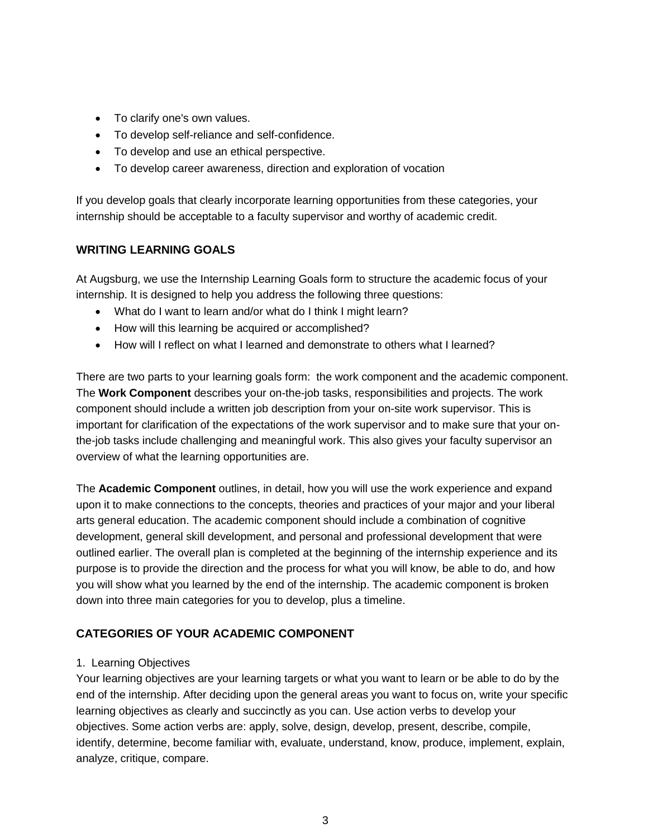- To clarify one's own values.
- To develop self-reliance and self-confidence.
- To develop and use an ethical perspective.
- To develop career awareness, direction and exploration of vocation

If you develop goals that clearly incorporate learning opportunities from these categories, your internship should be acceptable to a faculty supervisor and worthy of academic credit.

## **WRITING LEARNING GOALS**

At Augsburg, we use the Internship Learning Goals form to structure the academic focus of your internship. It is designed to help you address the following three questions:

- What do I want to learn and/or what do I think I might learn?
- How will this learning be acquired or accomplished?
- How will I reflect on what I learned and demonstrate to others what I learned?

There are two parts to your learning goals form: the work component and the academic component. The **Work Component** describes your on-the-job tasks, responsibilities and projects. The work component should include a written job description from your on-site work supervisor. This is important for clarification of the expectations of the work supervisor and to make sure that your onthe-job tasks include challenging and meaningful work. This also gives your faculty supervisor an overview of what the learning opportunities are.

The **Academic Component** outlines, in detail, how you will use the work experience and expand upon it to make connections to the concepts, theories and practices of your major and your liberal arts general education. The academic component should include a combination of cognitive development, general skill development, and personal and professional development that were outlined earlier. The overall plan is completed at the beginning of the internship experience and its purpose is to provide the direction and the process for what you will know, be able to do, and how you will show what you learned by the end of the internship. The academic component is broken down into three main categories for you to develop, plus a timeline.

## **CATEGORIES OF YOUR ACADEMIC COMPONENT**

### 1. Learning Objectives

Your learning objectives are your learning targets or what you want to learn or be able to do by the end of the internship. After deciding upon the general areas you want to focus on, write your specific learning objectives as clearly and succinctly as you can. Use action verbs to develop your objectives. Some action verbs are: apply, solve, design, develop, present, describe, compile, identify, determine, become familiar with, evaluate, understand, know, produce, implement, explain, analyze, critique, compare.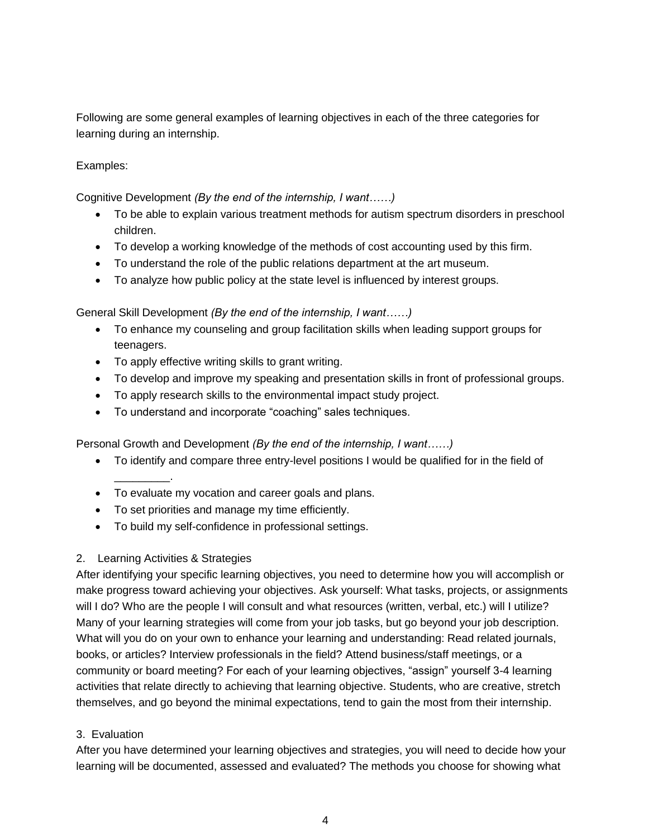Following are some general examples of learning objectives in each of the three categories for learning during an internship.

## Examples:

Cognitive Development *(By the end of the internship, I want……)*

- To be able to explain various treatment methods for autism spectrum disorders in preschool children.
- To develop a working knowledge of the methods of cost accounting used by this firm.
- To understand the role of the public relations department at the art museum.
- To analyze how public policy at the state level is influenced by interest groups.

General Skill Development *(By the end of the internship, I want……)*

- To enhance my counseling and group facilitation skills when leading support groups for teenagers.
- To apply effective writing skills to grant writing.
- To develop and improve my speaking and presentation skills in front of professional groups.
- To apply research skills to the environmental impact study project.
- To understand and incorporate "coaching" sales techniques.

Personal Growth and Development *(By the end of the internship, I want……)*

- To identify and compare three entry-level positions I would be qualified for in the field of \_\_\_\_\_\_\_\_\_.
- To evaluate my vocation and career goals and plans.
- To set priorities and manage my time efficiently.
- To build my self-confidence in professional settings.

### 2. Learning Activities & Strategies

After identifying your specific learning objectives, you need to determine how you will accomplish or make progress toward achieving your objectives. Ask yourself: What tasks, projects, or assignments will I do? Who are the people I will consult and what resources (written, verbal, etc.) will I utilize? Many of your learning strategies will come from your job tasks, but go beyond your job description. What will you do on your own to enhance your learning and understanding: Read related journals, books, or articles? Interview professionals in the field? Attend business/staff meetings, or a community or board meeting? For each of your learning objectives, "assign" yourself 3-4 learning activities that relate directly to achieving that learning objective. Students, who are creative, stretch themselves, and go beyond the minimal expectations, tend to gain the most from their internship.

### 3. Evaluation

After you have determined your learning objectives and strategies, you will need to decide how your learning will be documented, assessed and evaluated? The methods you choose for showing what